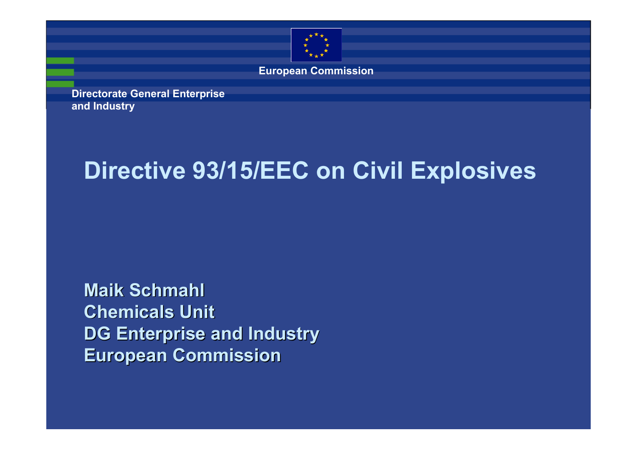

**European Commission**

**Directorate General Enterprise and Industry**

#### **Directive 93/15/EEC on Civil Explosives**

**Maik Schmahl Chemicals Unit DG Enterprise and Industry DG Enterprise and Industry European Commission European Commission**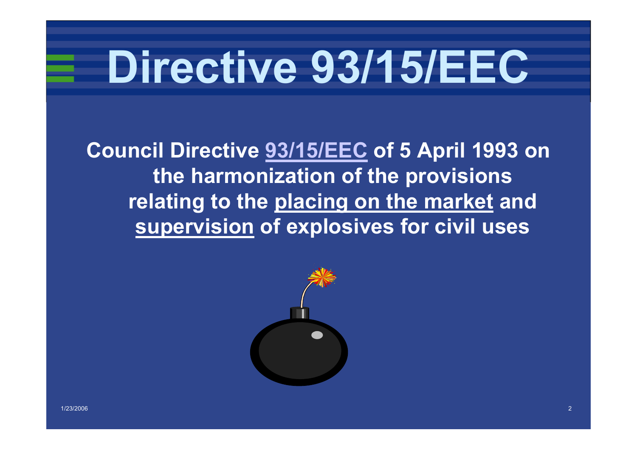# **Directive 93/15/EEC**

**Council Directive 93/15/EEC of 5 April 1993 on the harmonization of the provisions relating to the placing on the market and supervision of explosives for civil uses**

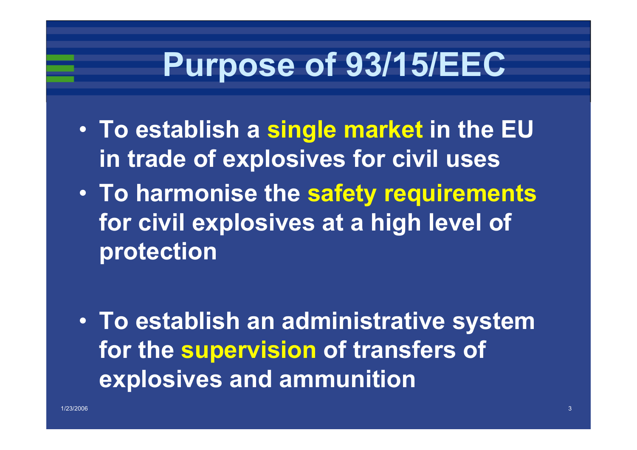## **Purpose of 93/15/EEC**

- **To establish a single market in the EU in trade of explosives for civil uses**
- $\bullet$  **To harmonise the safety requirements for civil explosives at a high level of protection**

• **To establish an administrative system for the supervision of transfers of explosives and ammunition**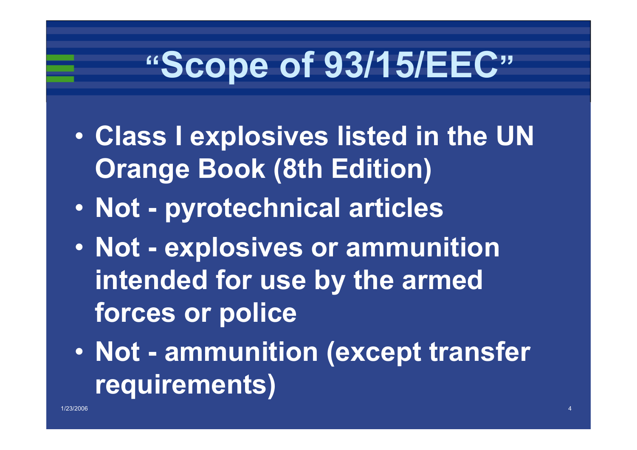## **"Scope of 93/15/EEC"**

- $\bullet$  **Class I explosives listed in the UN Orange Book (8th Edition)**
- $\bullet$ **Not - pyrotechnical articles**
- $\bullet$  **Not - explosives or ammunition intended for use by the armed forces or police**
- $\bullet$  **Not - ammunition (except transfer requirements)**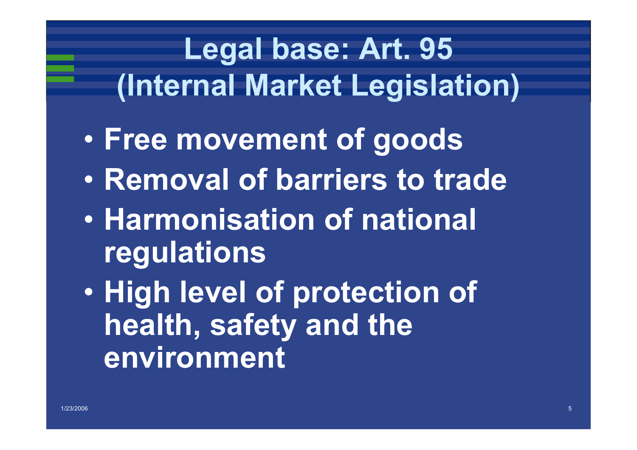## **Legal base: Art. 95 (Internal Market Legislation)**

- $\bullet$ **Free movement of goods**
- $\bullet$ **Removal of barriers to trade**
- $\bullet$  **Harmonisation of national regulations**
- $\bullet$  **High level of protection of health, safety and the environment**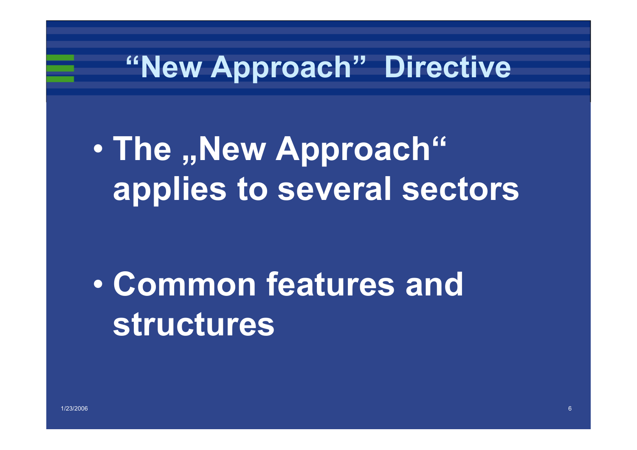### **"New Approach" Directive**

#### $\bullet$  **The "New Approach" applies to several sectors**

#### $\bullet$  **Common features and structures**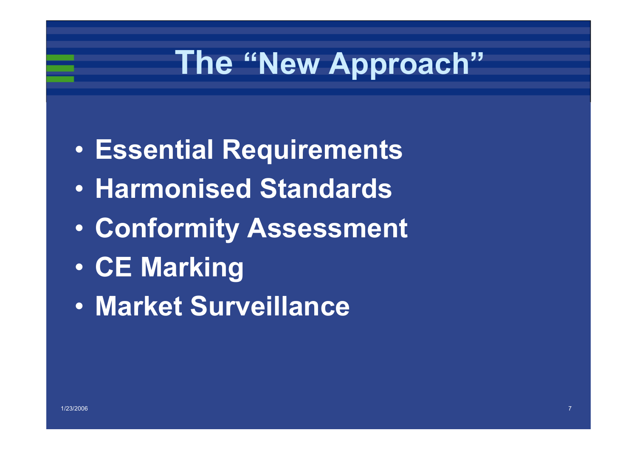## **The "New Approach"**

- $\bullet$ **Essential Requirements**
- $\bullet$ **Harmonised Standards**
- •**Conformity Assessment**
- $\bullet$ **CE Marking**
- •**Market Surveillance**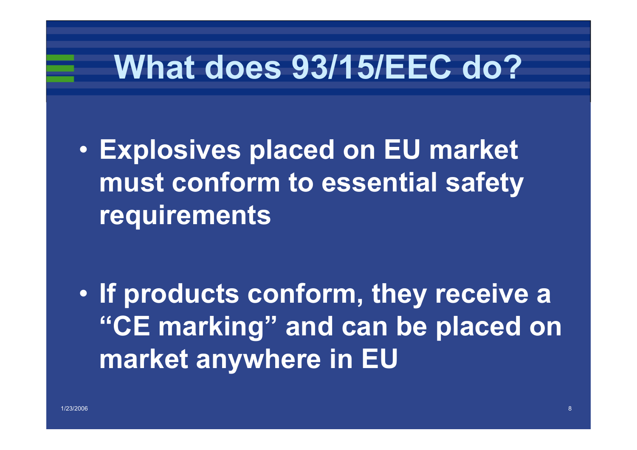## **What does 93/15/EEC do?**

 $\bullet$  **Explosives placed on EU market must conform to essential safety requirements**

 $\bullet$  **If products conform, they receive a "CE marking" and can be placed on market anywhere in EU**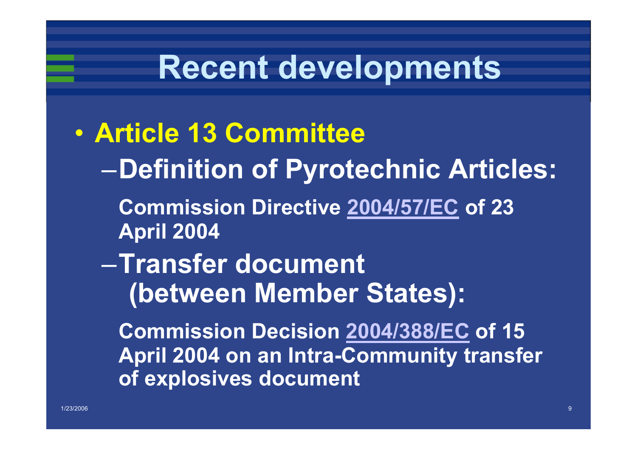## **Recent developments**

 $\bullet$  **Article 13 Committee** –**Definition of Pyrotechnic Articles: Commission Directive 2004/57/EC of 23 April 2004**  –**Transfer document (between Member States): Commission Decision 2004/388/EC of 15 April 2004 on an Intra-Community transfer of explosives document**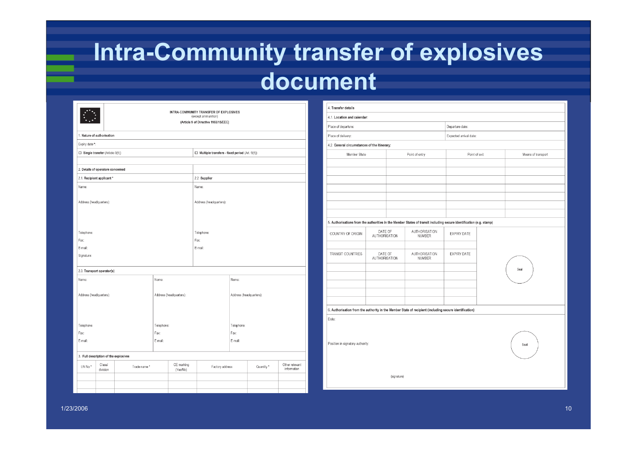#### **Intra-Community transfer of explosives document**

|                            |                                       | INTRA-COMMUNITY TRANSFER OF EXPLOSIVES<br>(except ammunition)<br>(Article 9 of Directive 1993/15/EEC) |                        |                         |                                                      |                         |                               |  |  |  |  |  |
|----------------------------|---------------------------------------|-------------------------------------------------------------------------------------------------------|------------------------|-------------------------|------------------------------------------------------|-------------------------|-------------------------------|--|--|--|--|--|
| 1. Nature of authorisation |                                       |                                                                                                       |                        |                         |                                                      |                         |                               |  |  |  |  |  |
| Expiry date *:             |                                       |                                                                                                       |                        |                         |                                                      |                         |                               |  |  |  |  |  |
|                            | $\Box$ Single transfer (Article 9(5)) |                                                                                                       |                        |                         | $\Box$ Multiple transfers - fixed period (Art. 9(6)) |                         |                               |  |  |  |  |  |
|                            |                                       |                                                                                                       |                        |                         |                                                      |                         |                               |  |  |  |  |  |
|                            | 2. Details of operators concerned     |                                                                                                       |                        |                         |                                                      |                         |                               |  |  |  |  |  |
| 2.1. Recipient applicant * |                                       |                                                                                                       |                        |                         | 2.2. Supplier                                        |                         |                               |  |  |  |  |  |
| Name:                      |                                       |                                                                                                       |                        |                         | Name:                                                |                         |                               |  |  |  |  |  |
| Address (headquarters):    |                                       |                                                                                                       |                        |                         | Address (headquarters):                              |                         |                               |  |  |  |  |  |
| Telephone:                 |                                       |                                                                                                       |                        |                         | Telephone:                                           |                         |                               |  |  |  |  |  |
| Fax:                       |                                       |                                                                                                       |                        |                         | Fax:                                                 |                         |                               |  |  |  |  |  |
| E-mail:                    |                                       |                                                                                                       |                        |                         | E-mail:                                              |                         |                               |  |  |  |  |  |
| Signature:                 |                                       |                                                                                                       |                        |                         |                                                      |                         |                               |  |  |  |  |  |
|                            |                                       |                                                                                                       |                        |                         |                                                      |                         |                               |  |  |  |  |  |
|                            | 2.3. Transport operator(s)            |                                                                                                       |                        |                         |                                                      |                         |                               |  |  |  |  |  |
| Name:<br>Name:             |                                       |                                                                                                       |                        |                         |                                                      |                         | Name:                         |  |  |  |  |  |
| Address (headquarters):    |                                       |                                                                                                       |                        | Address (headquarters): |                                                      | Address (headquarters): |                               |  |  |  |  |  |
| Telephone:                 |                                       |                                                                                                       | Telephone:             |                         | Telephone:                                           |                         |                               |  |  |  |  |  |
| Fax:                       |                                       |                                                                                                       | Fax:                   |                         | Fax:                                                 |                         |                               |  |  |  |  |  |
| E-mail:                    |                                       |                                                                                                       | E-mail:                |                         | E-mail:                                              |                         |                               |  |  |  |  |  |
|                            |                                       |                                                                                                       |                        |                         |                                                      |                         |                               |  |  |  |  |  |
|                            | 3. Full description of the explosives |                                                                                                       |                        |                         |                                                      |                         |                               |  |  |  |  |  |
| UN No*                     | Class/<br>Trade name*<br>division     |                                                                                                       | CE marking<br>(Yes/No) | Factory address         |                                                      | Quantity *              | Other relevant<br>information |  |  |  |  |  |
|                            |                                       |                                                                                                       |                        |                         |                                                      |                         |                               |  |  |  |  |  |
|                            |                                       |                                                                                                       |                        |                         |                                                      |                         |                               |  |  |  |  |  |

| 4. Transfer details                                                                                                 |                          |                                |                |                        |  |                    |  |  |  |  |  |
|---------------------------------------------------------------------------------------------------------------------|--------------------------|--------------------------------|----------------|------------------------|--|--------------------|--|--|--|--|--|
| 4.1. Location and calendar:                                                                                         |                          |                                |                |                        |  |                    |  |  |  |  |  |
| Place of departure:                                                                                                 |                          |                                |                | Departure date:        |  |                    |  |  |  |  |  |
| Place of delivery:                                                                                                  |                          |                                |                | Expected arrival date: |  |                    |  |  |  |  |  |
| 4.2. General circumstances of the itinerary:                                                                        |                          |                                |                |                        |  |                    |  |  |  |  |  |
| Member State                                                                                                        |                          |                                | Point of entry | Point of exit          |  | Means of transport |  |  |  |  |  |
|                                                                                                                     |                          |                                |                |                        |  |                    |  |  |  |  |  |
|                                                                                                                     |                          |                                |                |                        |  |                    |  |  |  |  |  |
|                                                                                                                     |                          |                                |                |                        |  |                    |  |  |  |  |  |
|                                                                                                                     |                          |                                |                |                        |  |                    |  |  |  |  |  |
|                                                                                                                     |                          |                                |                |                        |  |                    |  |  |  |  |  |
|                                                                                                                     |                          |                                |                |                        |  |                    |  |  |  |  |  |
| 5. Authorisations from the authorities in the Member States of transit including secure identification (e.g. stamp) |                          |                                |                |                        |  |                    |  |  |  |  |  |
|                                                                                                                     | DATE OF                  |                                | AUTHORISATION  |                        |  |                    |  |  |  |  |  |
| COUNTRY OF ORIGIN                                                                                                   | AUTHORISATION            |                                | <b>NUMBER</b>  | EXPIRY DATE            |  |                    |  |  |  |  |  |
|                                                                                                                     |                          |                                |                |                        |  |                    |  |  |  |  |  |
| TRANSIT COUNTRIES                                                                                                   | DATE OF<br>AUTHORISATION | AUTHORISATION<br><b>NUMBER</b> |                | <b>EXPIRY DATE</b>     |  |                    |  |  |  |  |  |
|                                                                                                                     |                          |                                |                |                        |  |                    |  |  |  |  |  |
|                                                                                                                     |                          |                                |                |                        |  | Seal               |  |  |  |  |  |
|                                                                                                                     |                          |                                |                |                        |  |                    |  |  |  |  |  |
|                                                                                                                     |                          |                                |                |                        |  |                    |  |  |  |  |  |
|                                                                                                                     |                          |                                |                |                        |  |                    |  |  |  |  |  |
| 6. Authorisation from the authority in the Member State of recipient (including secure identification)              |                          |                                |                |                        |  |                    |  |  |  |  |  |
| Date:                                                                                                               |                          |                                |                |                        |  |                    |  |  |  |  |  |
|                                                                                                                     |                          |                                |                |                        |  |                    |  |  |  |  |  |
|                                                                                                                     |                          |                                |                |                        |  |                    |  |  |  |  |  |
| Position in signatory authority:<br>Sea                                                                             |                          |                                |                |                        |  |                    |  |  |  |  |  |
|                                                                                                                     |                          |                                |                |                        |  |                    |  |  |  |  |  |
|                                                                                                                     |                          |                                |                |                        |  |                    |  |  |  |  |  |
| (signature)                                                                                                         |                          |                                |                |                        |  |                    |  |  |  |  |  |
|                                                                                                                     |                          |                                |                |                        |  |                    |  |  |  |  |  |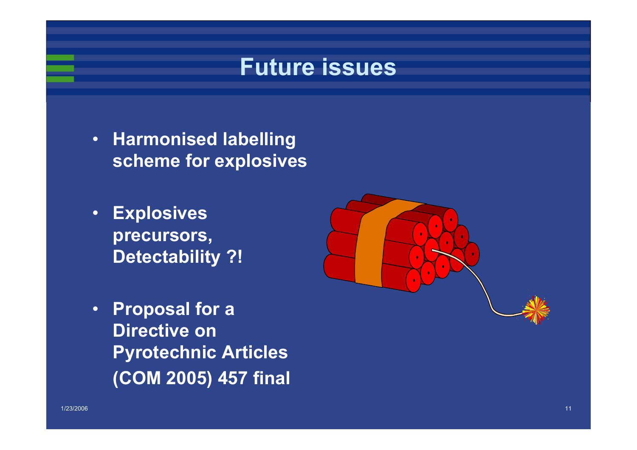#### **Future issues**

- **Harmonised labelling scheme for explosives**
- $\bullet$  **Explosives precursors, Detectability ?!**



• **Proposal for a Directive on Pyrotechnic Articles (COM 2005) 457 final**